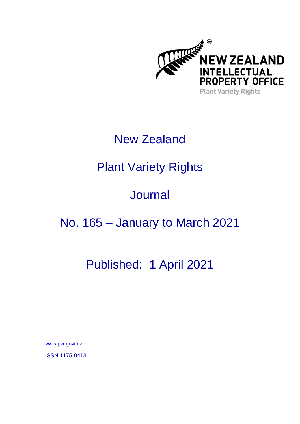

## New Zealand

# Plant Variety Rights

# **Journal**

### No. 165 – January to March 2021

## Published: 1 April 2021

[www.pvr.govt.nz](https://www.iponz.govt.nz/about-ip/pvr/)

ISSN 1175-0413